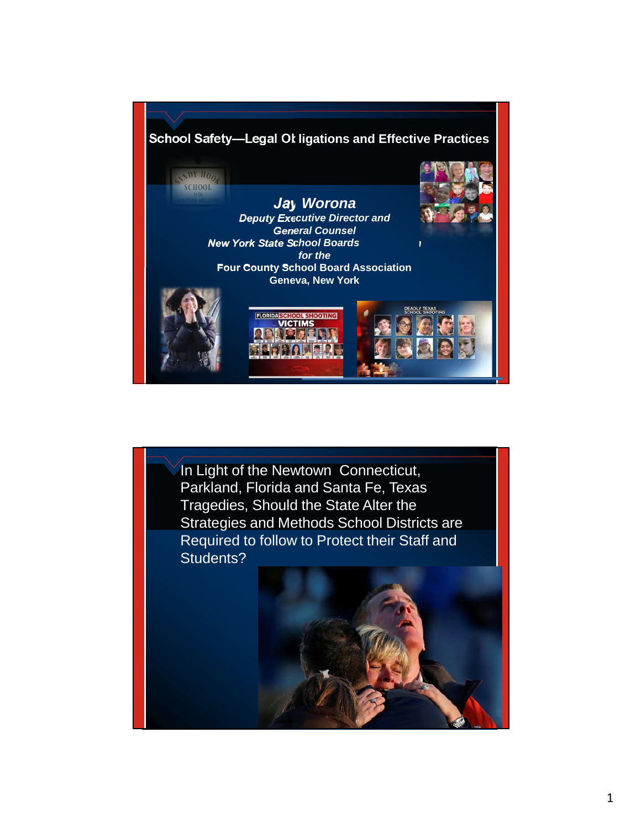

In Light of the Newtown Connecticut, Parkland, Florida and Santa Fe, Texas Tragedies, Should the State Alter the Strategies and Methods School Districts are Required to follow to Protect their Staff and Students?

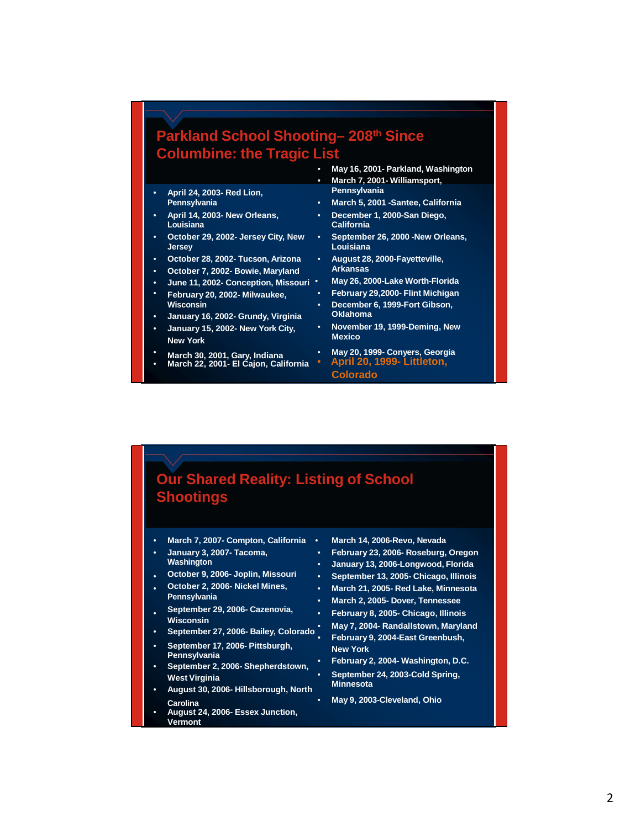#### **Parkland School Shooting– 208th Since Columbine: the Tragic List**

- **April 24, 2003- Red Lion, Pennsylvania**
- **April 14, 2003- New Orleans, December 1, 2000-San Diego, Louisiana California**
- **October 29, 2002- Jersey City, New September 26, 2000 -New Orleans, Jersey Louisiana**
- **October 28, 2002- Tucson, Arizona August 28, 2000-Fayetteville,**
- 
- **June 11, 2002- Conception, Missouri May 26, 2000-Lake Worth-Florida**
- **February 20, 2002- Milwaukee, February 29,2000- Flint Michigan**
- 
- **January 15, 2002- New York City, November 19, 1999-Deming, New New York**
- 
- 
- **May 16, 2001- Parkland, Washington**
- **March 7, 2001- Williamsport,**
- **Pennsylvania March 5, 2001 -Santee, California**
	-
	-
	-
- **October 7, 2002- Bowie, Maryland Arkansas**
	-
	- **Wisconsin December 6, 1999-Fort Gibson,**
- **January 16, 2002- Grundy, Virginia Oklahoma**
- \* March 30, 2001, Gary, Indiana May 20, 1999- Conyers, Georgia<br>• March 22, 2001- El Cajon, California <mark>April 20, 1999- Littleton,</mark> **Colorado**

#### **Our Shared Reality: Listing of School Shootings**

- **March 7, 2007- Compton, California March 14, 2006-Revo, Nevada**
- **January 3, 2007- Tacoma, February 23, 2006- Roseburg, Oregon**
- 
- **October 2, 2006- Nickel Mines, March 21, 2005- Red Lake, Minnesota**
- **September 29, 2006- Cazenovia, February 8, 2005- Chicago, Illinois**
- 
- 
- 
- **Minnesota August 30, 2006- Hillsborough, North Carolina** • **May 9, 2003-Cleveland, Ohio**
- **August 24, 2006- Essex Junction, Vermont**
- 
- 
- **Washington January 13, 2006-Longwood, Florida**
- **October 9, 2006- Joplin, Missouri September 13, 2005- Chicago, Illinois**
	-
- **Pennsylvania March 2, 2005- Dover, Tennessee**
	-
- Wisconsin<br>• September 27, 2006- Bailey, Colorado May 7, 2004- Randallstown, Maryland<br>• September 17, 2006- Pittsburgh, New York<br>• September 2, 2006- Shepherdstown, February 2, 2004- Washington, D.C.<br>• September 2, 2006- Sh
	-
	- **West Virginia Collection Collection**<br>
	West Virginia **William Collection Collection**<br>
	Minnesota
		-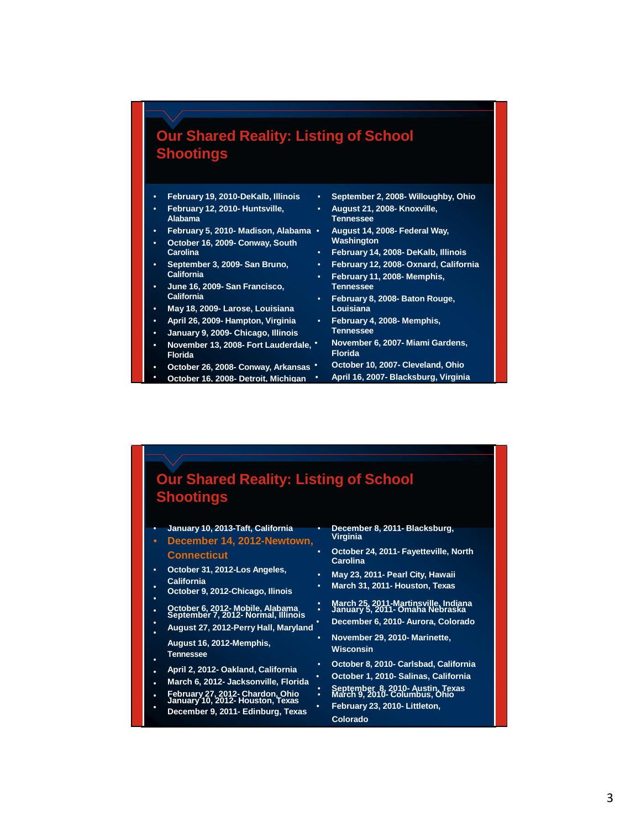#### **Our Shared Reality: Listing of School Shootings**

- **February 12, 2010- Huntsville, August 21, 2008- Knoxville,**
- **Alabama Tennessee**
- 
- **October 16, 2009- Conway, South Carolina**
- **September 3, 2009- San Bruno, February 12, 2008- Oxnard, California**
- **June 16, 2009- San Francisco, Tennessee**
- **May 18, 2009- Larose, Louisiana Louisiana**
- **April 26, 2009- Hampton, Virginia February 4, 2008- Memphis,**
- **January 9, 2009- Chicago, Illinois Tennessee**
- **November 13, 2008- Fort Lauderdale, November 6, 2007- Miami Gardens, Florida Florida**
- **0ctober 26, 2008- Conway, Arkansas**
- 
- **February 19, 2010-DeKalb, Illinois September 2, 2008- Willoughby, Ohio**
- **February 5, 2010- Madison, Alabama August 14, 2008- Federal Way,**
	- **Carolina February 14, 2008- DeKalb, Illinois**
	-
	- **California February 11, 2008- Memphis,**
	- **California February 8, 2008- Baton Rouge,**
	-
	-
	-
- **October 16, 2008- Detroit, Michigan April 16, 2007- Blacksburg, Virginia**

#### **Our Shared Reality: Listing of School Shootings** • **January 10, 2013-Taft, California** • **December 8, 2011- Blacksburg, December 14, 2012-Newtown, Connecticut** • **October 24, 2011- Fayetteville, North Carolina** • **October 31, 2012-Los Angeles,** • **May 23, 2011- Pearl City, Hawaii California** • **October 9, 2012-Chicago, Ilinois** • **March 31, 2011- Houston, Texas** • October 6, 2012- Mobile, Alabama (March 25, 2011-Martinsville, Indiana<br>September 7, 2012- Normal, Illinois<br>August 27, 2012 Desmullall Martianal (December 6, 2010- Aurora, Colorado) • **August 27, 2012-Perry Hall, Maryland** • **December 6, 2010- Aurora, Colorado** • **August 16, 2012-Memphis,** • **November 29, 2010- Marinette, Tennessee Wisconsin** • **April 2, 2012- Oakland, California** • **October 8, 2010- Carlsbad, California** • **March 6, 2012- Jacksonville, Florida** • **October 1, 2010- Salinas, California** • February 27, 2012- Chardon, Ohio : March 9, 2010- Columbus, O<br>January 10, 2012- Houston, Texas . February 23, 2010- Littleton, **December 9, 2011- Edinburg, Texas Colorado**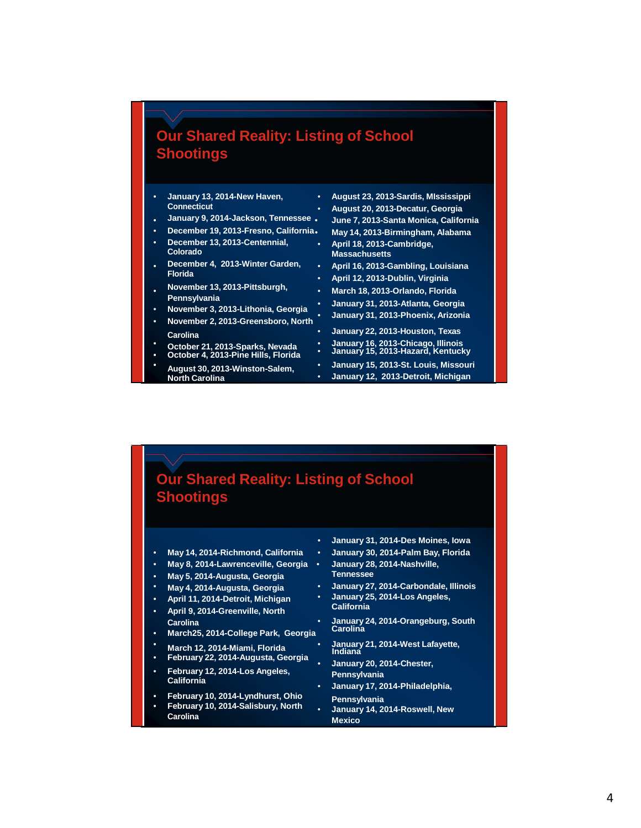#### **Our Shared Reality: Listing of School Shootings**

- 
- 
- 
- **December 13, 2013-Centennial, April 18, 2013-Cambridge, Colorado Massachusetts**
- **December 4, 2013-Winter Garden, April 16, 2013-Gambling, Louisiana**
- **November 13, 2013-Pittsburgh, March 18, 2013-Orlando, Florida**
- 
- **Carolina January 22, 2013-Houston, Texas**
- 
- 
- **August 30, 2013-Winston-Salem, January 15, 2013-St. Louis, Missouri**

• **January 13, 2014-New Haven,** • **August 23, 2013-Sardis, MIssissippi Connecticut** • **August 20, 2013-Decatur, Georgia** • **January 9, 2014-Jackson, Tennessee** • **June 7, 2013-Santa Monica, California** • **December 19, 2013-Fresno, California**• **May 14, 2013-Birmingham, Alabama**

- 
- **Florida April 12, 2013-Dublin, Virginia**
	-
- **Fennsylvania**<br>November 3, 2013-Lithonia, Georgia<br>November 2, 2013-Greensboro, North<br>November 2, 2013-Greensboro, North
- **October 21, 2013-Sparks, Nevada January 16, 2013-Chicago, Illinois** • **October 4, 2013-Pine Hills, Florida** • **January 15, 2013-Hazard, Kentucky**
	-
	- **North Carolina January 12, 2013-Detroit, Michigan**

#### **Our Shared Reality: Listing of School Shootings**

- 
- 
- **May 5, 2014-Augusta, Georgia**
- 
- **April 11, 2014-Detroit, Michigan January 25, 2014-Los Angeles,**
- **April 9, 2014-Greenville, North California**
- **March25, 2014-College Park, Georgia Carolina**
- 
- 
- 
- **February 10, 2014-Lyndhurst, Ohio Pennsylvania February 10, 2014-Salisbury, North January 14, 2014-Roswell, New**
- 
- **January 31, 2014-Des Moines, Iowa**
- **May 14, 2014-Richmond, California January 30, 2014-Palm Bay, Florida**
- **May 8, 2014-Lawrenceville, Georgia January 28, 2014-Nashville,**
	-
- **May 4, 2014-Augusta, Georgia January 27, 2014-Carbondale, Illinois**
- **Carolina January 24, 2014-Orangeburg, South**
- March 12, 2014-Miami, Florida<br>
February 22, 2014-Augusta, Georgia<br>
February 12, 2014-Los Angeles, Beorgia<br>
California<br>
California<br>
California<br>
California<br>
California<br>
California<br>
California<br>
California<br>
California<br>
Califor
	-
	-
	-
	- **Carolina Mexico**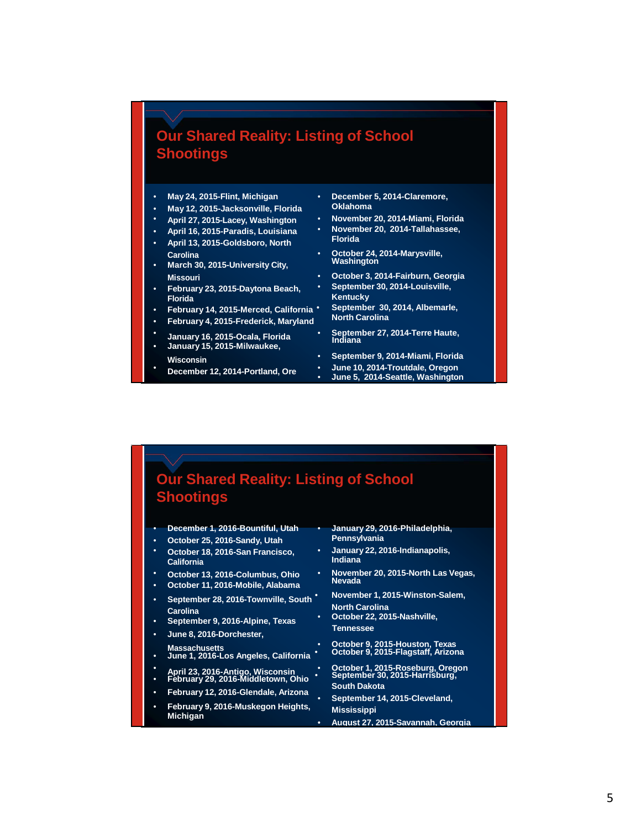#### **Our Shared Reality: Listing of School Shootings**

- **May 12, 2015-Jacksonville, Florida**
- 
- **April 16, 2015-Paradis, Louisiana November 20, 2014-Tallahassee,**
- **April 13, 2015-Goldsboro, North Florida**
- **March 30, 2015-University City,**
- **February 23, 2015-Daytona Beach, September 30, 2014-Louisville,**
- **February 14, 2015-Merced, California September 30, 2014, Albemarle,**
- **February 4, 2015-Frederick, Maryland**
- -
- **December 12, 2014-Portland, Ore**
- **May 24, 2015-Flint, Michigan December 5, 2014-Claremore,**
- **April 27, 2015-Lacey, Washington November 20, 2014-Miami, Florida**
	-
- **Carolina October 24, 2014-Marysville,**
- **Missouri October 3, 2014-Fairburn, Georgia**
	- **Kentucky**<br>September 30, 2014, Albemarle,
- **January 16, 2015-Ocala, Florida September 27, 2014-Terre Haute, Indiana January 15, 2015-Milwaukee,**
- **Wisconsin September 9, 2014-Miami, Florida** • **June 5, 2014-Seattle, Washington**

#### **Our Shared Reality: Listing of School Shootings**

| ٠         | December 1, 2016-Bountiful, Utah<br>October 25, 2016-Sandy, Utah                          |   | January 29, 2016-Philadelphia,<br>Pennsylvania                                            |
|-----------|-------------------------------------------------------------------------------------------|---|-------------------------------------------------------------------------------------------|
| ٠         | October 18, 2016-San Francisco,<br><b>California</b>                                      | ٠ | January 22, 2016-Indianapolis,<br>Indiana                                                 |
| ٠         | October 13, 2016-Columbus, Ohio<br>October 11, 2016-Mobile, Alabama                       | ٠ | November 20, 2015-North Las Vegas,<br><b>Nevada</b>                                       |
| ٠<br>٠    | September 28, 2016-Townville, South<br><b>Carolina</b><br>September 9, 2016-Alpine, Texas | ٠ | November 1, 2015-Winston-Salem,<br><b>North Carolina</b><br>October 22, 2015-Nashville,   |
| ٠         | June 8, 2016-Dorchester,                                                                  |   | <b>Tennessee</b>                                                                          |
| ٠         | <b>Massachusetts</b><br>June 1, 2016-Los Angeles, California                              | ٠ | October 9, 2015-Houston, Texas<br>October 9, 2015-Flagstaff, Arizona                      |
|           | April 23, 2016-Antigo, Wisconsin<br>February 29, 2016-Middletown, Ohio                    |   | October 1, 2015-Roseburg, Oregon<br>September 30, 2015-Harrisburg,<br><b>South Dakota</b> |
|           | February 12, 2016-Glendale, Arizona                                                       | ٠ | September 14, 2015-Cleveland,                                                             |
| $\bullet$ | February 9, 2016-Muskegon Heights,                                                        |   | <b>Mississippi</b>                                                                        |
|           | <b>Michigan</b>                                                                           |   | August 27, 2015-Savannah, Georgia                                                         |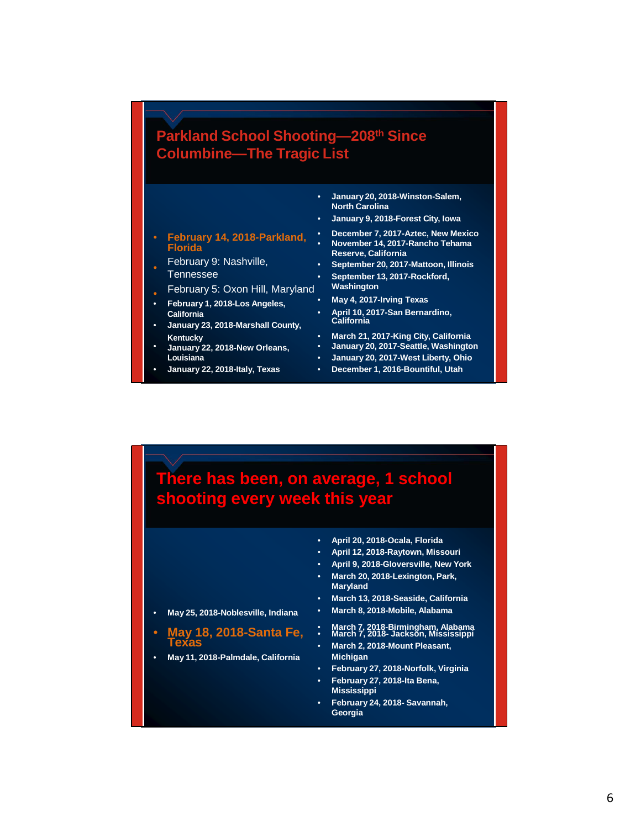#### **Parkland School Shooting—208th Since Columbine—The Tragic List**

- **January 20, 2018-Winston-Salem, North Carolina**
- **January 9, 2018-Forest City, Iowa**
- 
- February 9: Nashville, **September 20, 2017-Mattoon, Illinois**
- February 5: Oxon Hill, Maryland **Washington**
- **February 1, 2018-Los Angeles, California**
- **January 23, 2018-Marshall County,**
- **January 22, 2018-New Orleans, January 20, 2017-Seattle, Washington**
- 
- **February 14, 2018-Parkland, December 7, 2017-Aztec, New Mexico Florida** • **November 14, 2017-Rancho Tehama Reserve, California**
	-
	- September 13, 2017-Rockford,<br>Washington
	-
	- **California April 10, 2017-San Bernardino,**
	-
	- **Kentucky March 21, 2017-King City, California**
		- **Louisiana January 20, 2017-West Liberty, Ohio**
	- **January 22, 2018-Italy, Texas December 1, 2016-Bountiful, Utah**

#### **There has been, on average, 1 school shooting every week this year**

• **April 20, 2018-Ocala, Florida** • **April 12, 2018-Raytown, Missouri** • **April 9, 2018-Gloversville, New York** • **March 20, 2018-Lexington, Park, Maryland** • **March 13, 2018-Seaside, California** • **May 25, 2018-Noblesville, Indiana** • **March 8, 2018-Mobile, Alabama** • **May 18, 2018-Santa Fe,** • **March 7, 2018-Birmingham, Alabama** • **March 7, 2018- Jackson, Mississippi Texas** • **March 2, 2018-Mount Pleasant,** • **May 11, 2018-Palmdale, California Michigan** • **February 27, 2018-Norfolk, Virginia** • **February 27, 2018-Ita Bena, Mississippi** • **February 24, 2018- Savannah, Georgia**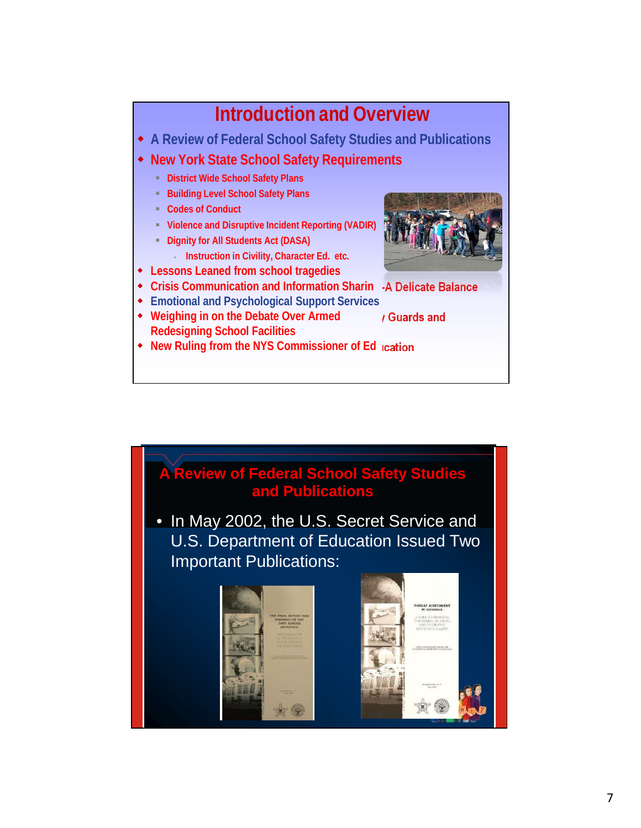## **Introduction and Overview**

- **A Review of Federal School Safety Studies and Publications**
- **New York State School Safety Requirements**
	- **District Wide School Safety Plans**
	- **Building Level School Safety Plans**
	- **Codes of Conduct**
	- **Violence and Disruptive Incident Reporting (VADIR)**
	- **Dignity for All Students Act (DASA)**
	- **Instruction in Civility, Character Ed. etc.**
- **Lessons Leaned from school tragedies**
- **g-A Delicate Balance Crisis Communication and Information Sharin**
- **Emotional and Psychological Support Services**
- **Weighing in on the Debate Over Armed Redesigning School Facilities**



- 
- **Security Guards and**
- **ucation New Ruling from the NYS Commissioner of Ed**

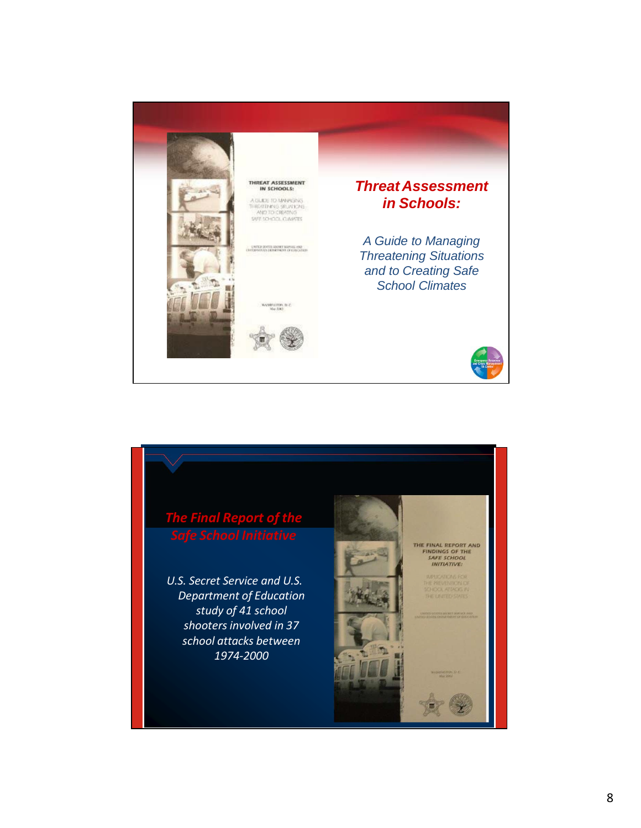

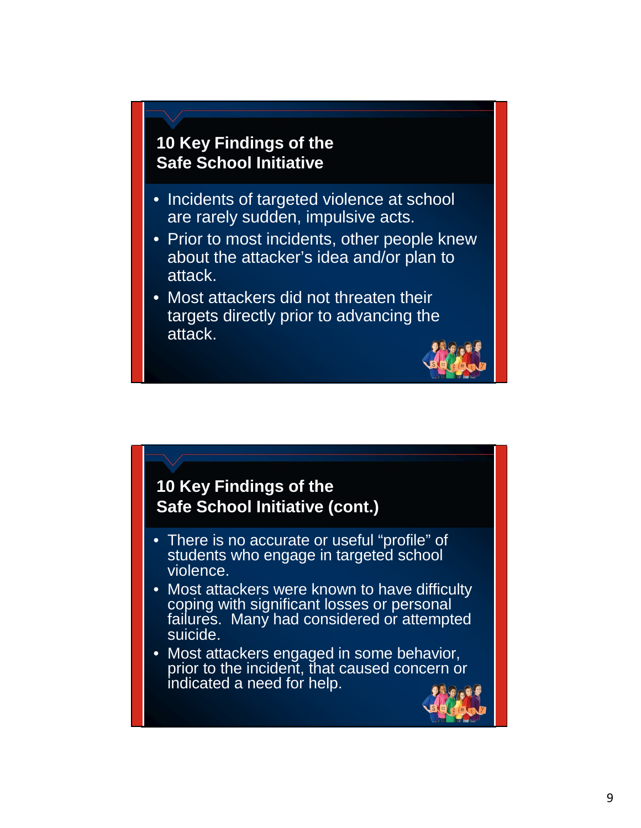#### **10 Key Findings of the Safe School Initiative**

- Incidents of targeted violence at school are rarely sudden, impulsive acts.
- Prior to most incidents, other people knew about the attacker's idea and/or plan to attack.
- Most attackers did not threaten their targets directly prior to advancing the attack.



#### **10 Key Findings of the Safe School Initiative (cont.)**

- There is no accurate or useful "profile" of students who engage in targeted school violence.
- Most attackers were known to have difficulty coping with significant losses or personal failures. Many had considered or attempted suicide.
- Most attackers engaged in some behavior, prior to the incident, that caused concern or indicated a need for help.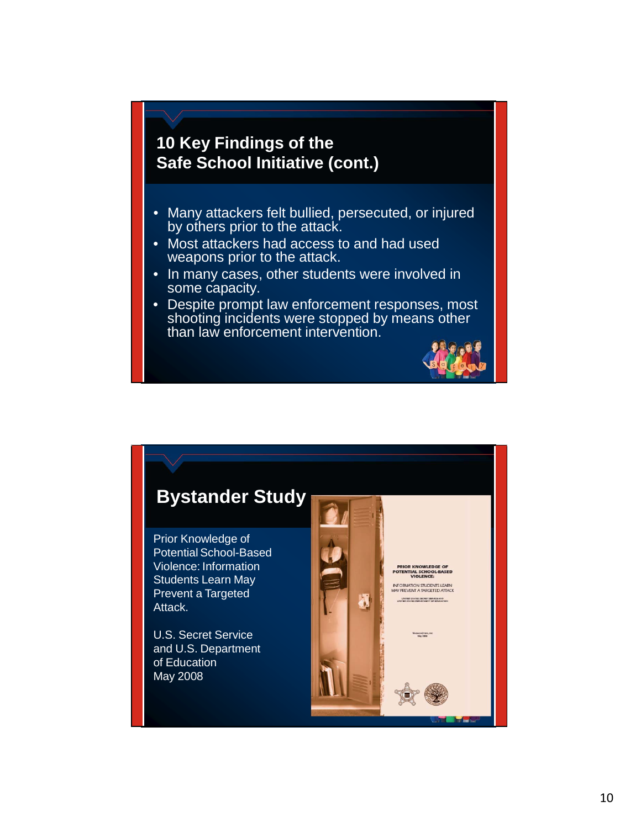#### **10 Key Findings of the Safe School Initiative (cont.)**

- Many attackers felt bullied, persecuted, or injured by others prior to the attack.
- Most attackers had access to and had used weapons prior to the attack.
- In many cases, other students were involved in some capacity.
- Despite prompt law enforcement responses, most shooting incidents were stopped by means other than law enforcement intervention.



#### **Bystander Study**

Prior Knowledge of Potential School-Based Violence: Information Students Learn May Prevent a Targeted Attack.

U.S. Secret Service and U.S. Department of Education May 2008

**RIOR KNOWLEDGE**<br>ENTIAL SCHOOLBA<br>VIOLENCE: .<br>FORMATION STUDENTS LEA<br>Y PREVENT A TARGETED ATT.

đ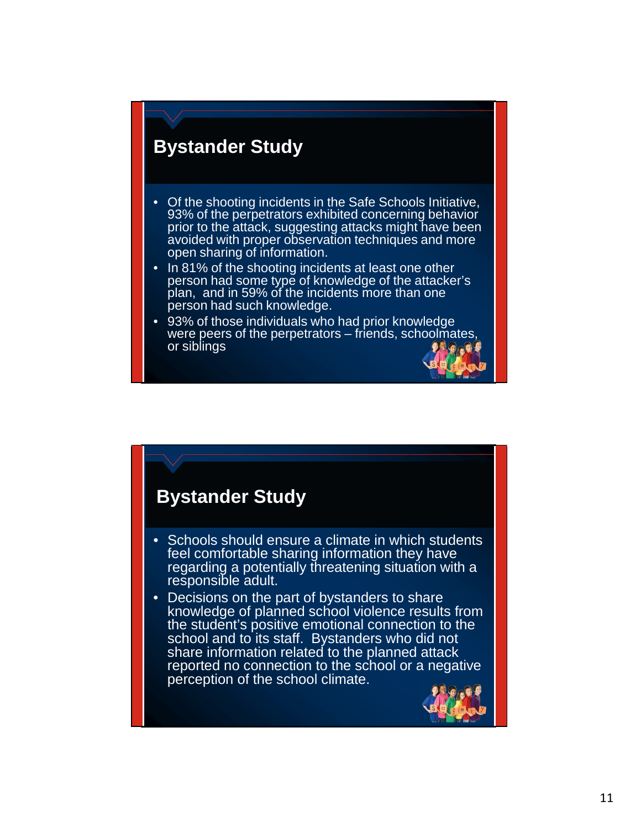#### **Bystander Study**

- Of the shooting incidents in the Safe Schools Initiative, 93% of the perpetrators exhibited concerning behavior prior to the attack, suggesting attacks might have been avoided with proper observation techniques and more open sharing of information.
- In 81% of the shooting incidents at least one other person had some type of knowledge of the attacker's plan, and in 59% of the incidents more than one person had such knowledge.
- 93% of those individuals who had prior knowledge were peers of the perpetrators – friends, schoolmates, or siblings

#### **Bystander Study**

- Schools should ensure a climate in which students feel comfortable sharing information they have regarding a potentially threatening situation with a responsible adult.
- Decisions on the part of bystanders to share knowledge of planned school violence results from the student's positive emotional connection to the school and to its staff. Bystanders who did not share information related to the planned attack reported no connection to the school or a negative perception of the school climate.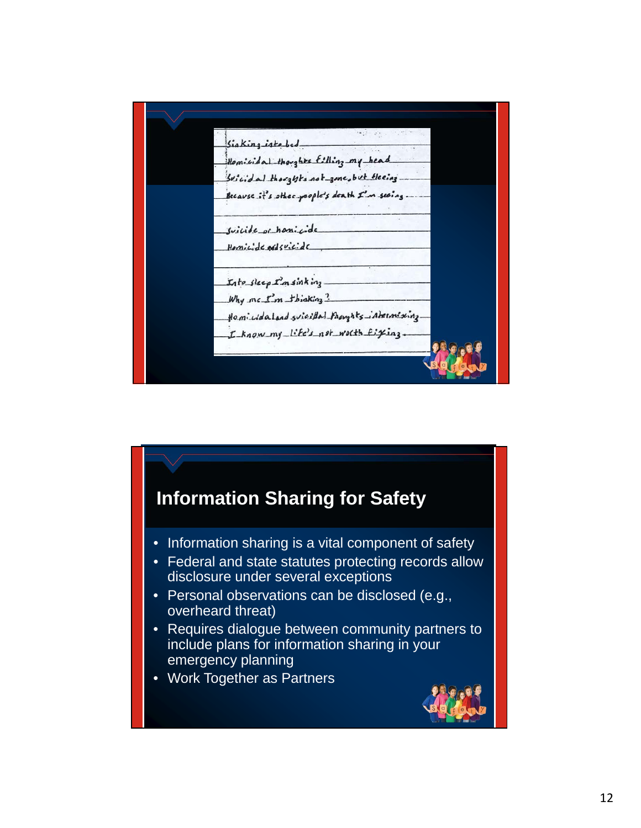

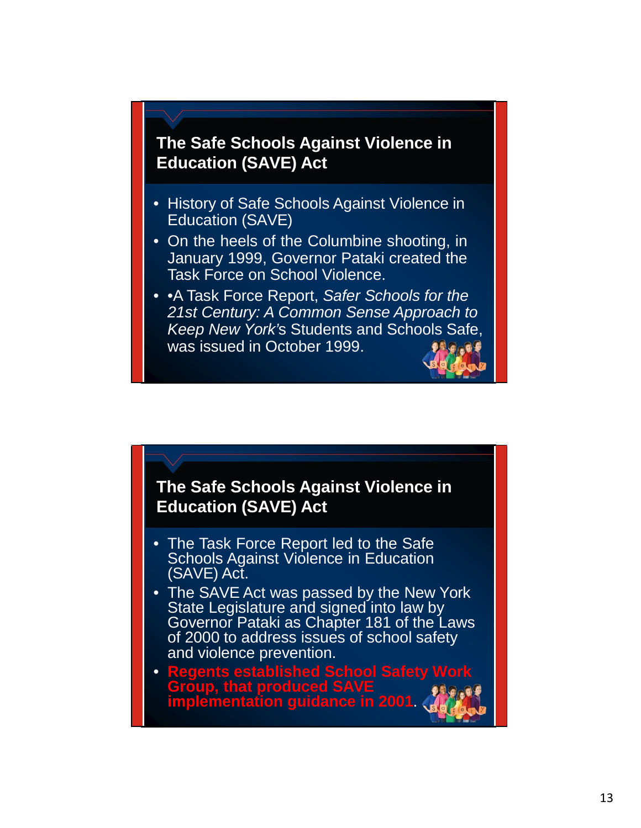#### **The Safe Schools Against Violence in Education (SAVE) Act**

- History of Safe Schools Against Violence in Education (SAVE)
- On the heels of the Columbine shooting, in January 1999, Governor Pataki created the Task Force on School Violence.
- •A Task Force Report, *Safer Schools for the 21st Century: A Common Sense Approach to Keep New York'*s Students and Schools Safe, was issued in October 1999.

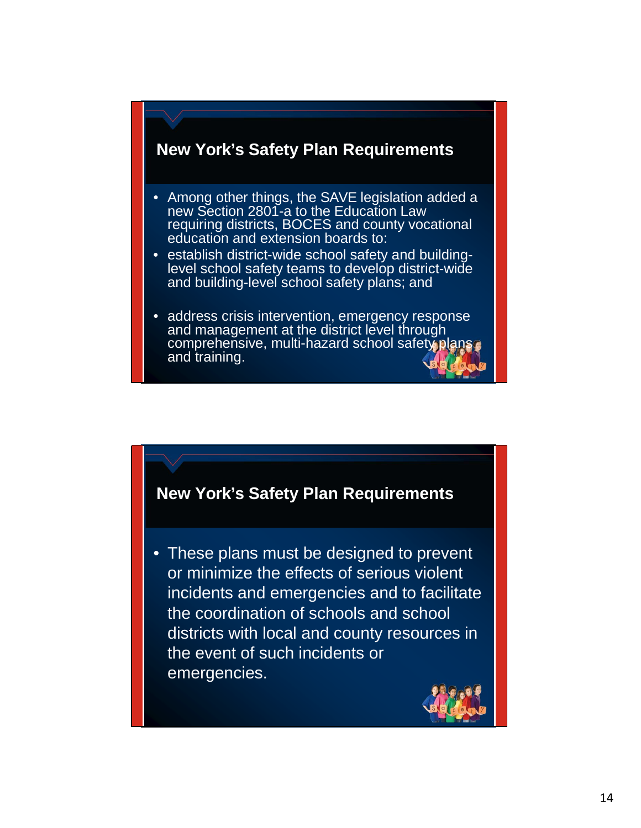#### **New York's Safety Plan Requirements**

- Among other things, the SAVE legislation added a new Section 2801-a to the Education Law requiring districts, BOCES and county vocational education and extension boards to:
- establish district-wide school safety and building- level school safety teams to develop district-wide and building-level school safety plans; and
- address crisis intervention, emergency response and management at the district level through comprehensive, multi-hazard school safety plans and training.



• These plans must be designed to prevent or minimize the effects of serious violent incidents and emergencies and to facilitate the coordination of schools and school districts with local and county resources in the event of such incidents or emergencies.

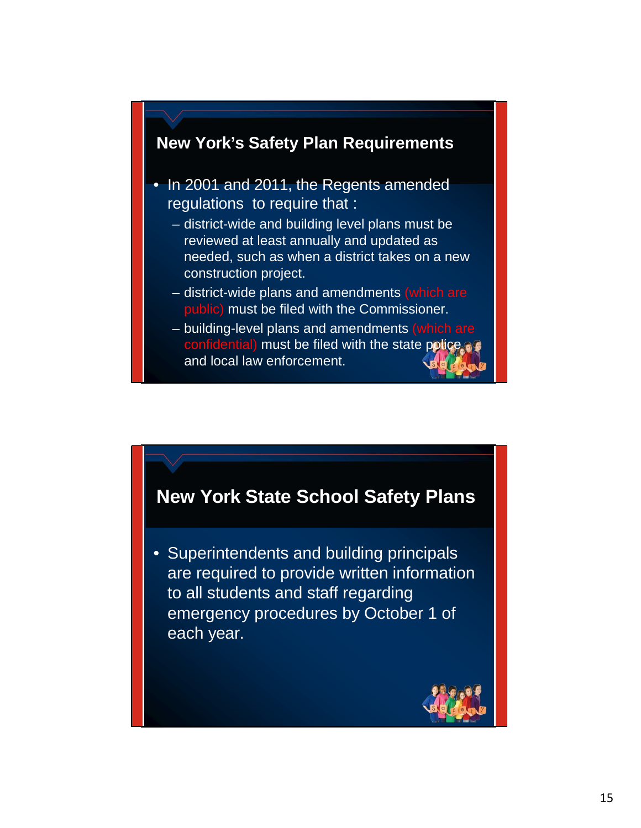

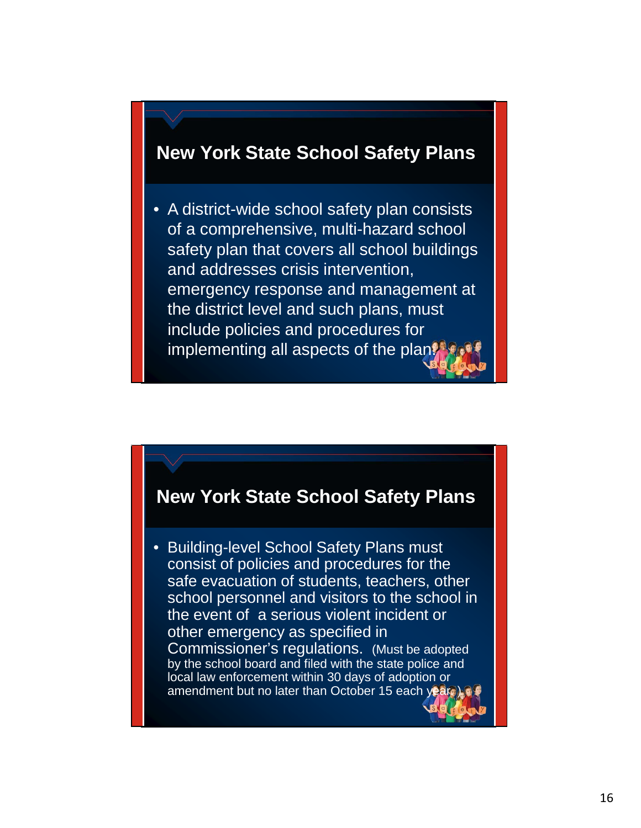#### **New York State School Safety Plans**

• A district-wide school safety plan consists of a comprehensive, multi-hazard school safety plan that covers all school buildings and addresses crisis intervention, emergency response and management at the district level and such plans, must include policies and procedures for implementing all aspects of the plan.

#### **New York State School Safety Plans**

• Building-level School Safety Plans must consist of policies and procedures for the safe evacuation of students, teachers, other school personnel and visitors to the school in the event of a serious violent incident or other emergency as specified in Commissioner's regulations. (Must be adopted by the school board and filed with the state police and local law enforcement within 30 days of adoption or amendment but no later than October 15 each year.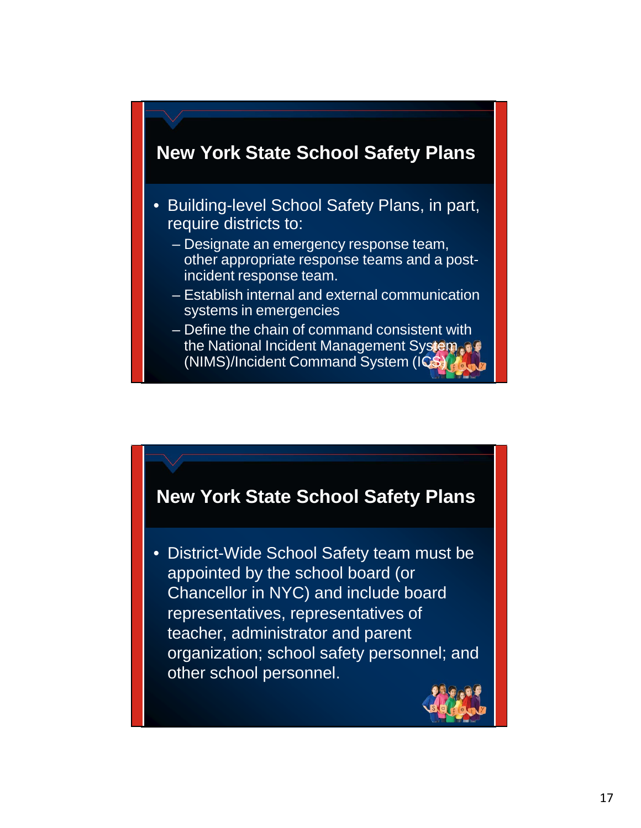

- Building-level School Safety Plans, in part, require districts to:
	- Designate an emergency response team, other appropriate response teams and a postincident response team.
	- Establish internal and external communication systems in emergencies
	- Define the chain of command consistent with the National Incident Management System (NIMS)/Incident Command System (ICS)



• District-Wide School Safety team must be appointed by the school board (or Chancellor in NYC) and include board representatives, representatives of teacher, administrator and parent organization; school safety personnel; and other school personnel.

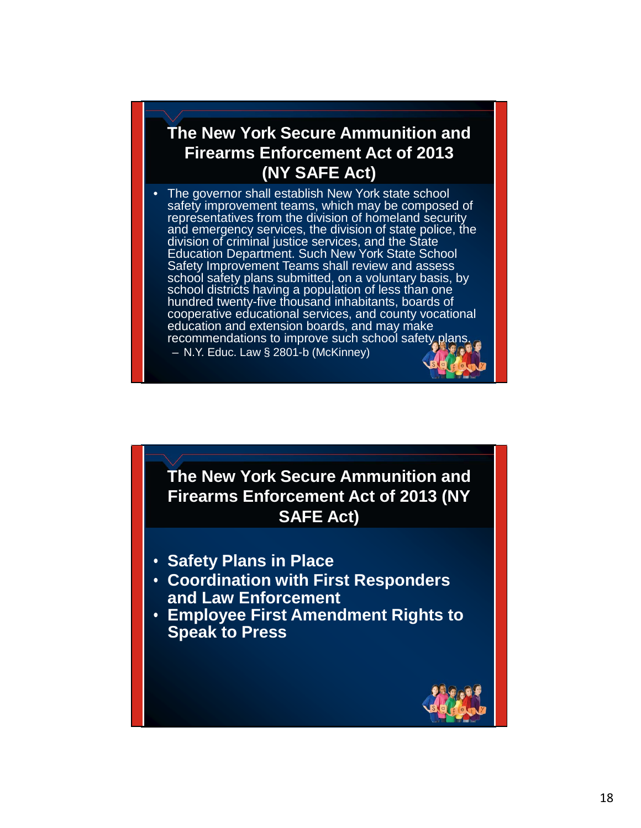#### **The New York Secure Ammunition and Firearms Enforcement Act of 2013 (NY SAFE Act)**

• The governor shall establish New York state school safety improvement teams, which may be composed of representatives from the division of homeland security and emergency services, the division of state police, the division of criminal justice services, and the State Education Department. Such New York State School Safety Improvement Teams shall review and assess school safety plans submitted, on a voluntary basis, by school districts having a population of less than one hundred twenty-five thousand inhabitants, boards of cooperative educational services, and county vocational education and extension boards, and may make recommendations to improve such school safety plans. – N.Y. Educ. Law § 2801-b (McKinney)

**The New York Secure Ammunition and Firearms Enforcement Act of 2013 (NY SAFE Act)**

- **Safety Plans in Place**
- **Coordination with First Responders and Law Enforcement**
- **Employee First Amendment Rights to Speak to Press**

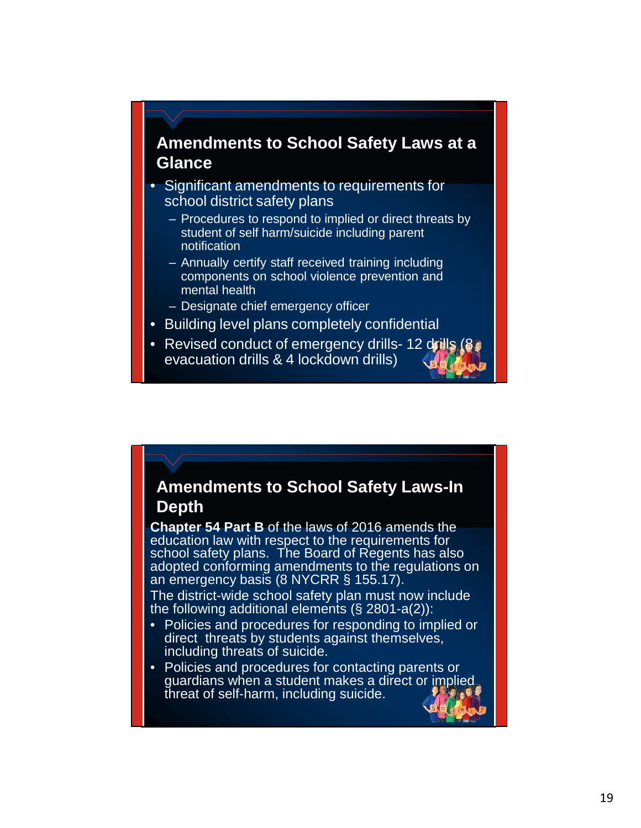#### **Amendments to School Safety Laws at a Glance**

- Significant amendments to requirements for school district safety plans
	- Procedures to respond to implied or direct threats by student of self harm/suicide including parent notification
	- Annually certify staff received training including components on school violence prevention and mental health
	- Designate chief emergency officer
- Building level plans completely confidential
- Revised conduct of emergency drills- 12 drills (8) evacuation drills & 4 lockdown drills)

#### **Amendments to School Safety Laws-In Depth**

**Chapter 54 Part B** of the laws of 2016 amends the education law with respect to the requirements for school safety plans. The Board of Regents has also adopted conforming amendments to the regulations on an emergency basis (8 NYCRR § 155.17).

The district-wide school safety plan must now include the following additional elements  $(\S$  2801-a(2)):

- Policies and procedures for responding to implied or direct threats by students against themselves, including threats of suicide.
- Policies and procedures for contacting parents or guardians when a student makes a direct or implied threat of self-harm, including suicide.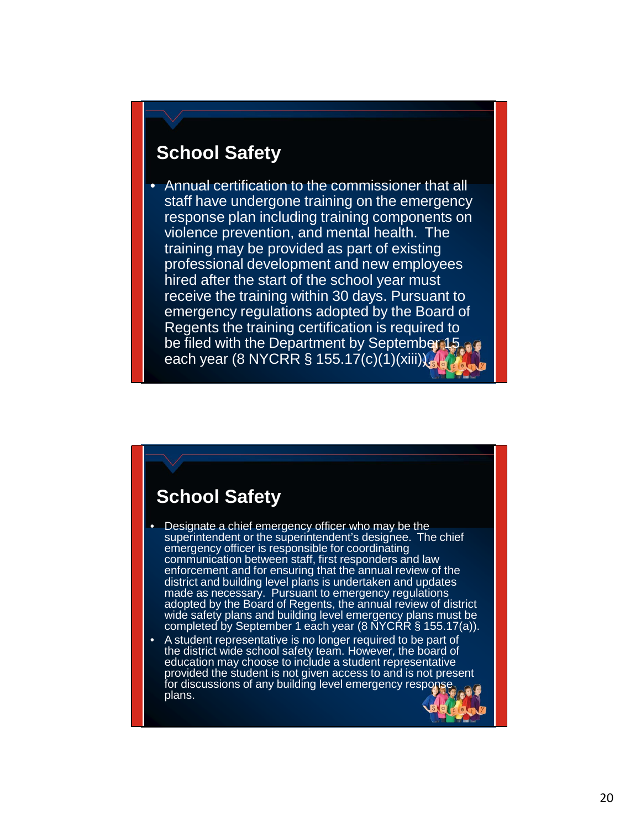#### **School Safety**

• Annual certification to the commissioner that all staff have undergone training on the emergency response plan including training components on violence prevention, and mental health. The training may be provided as part of existing professional development and new employees hired after the start of the school year must receive the training within 30 days. Pursuant to emergency regulations adopted by the Board of Regents the training certification is required to be filed with the Department by September 15 each year (8 NYCRR § 155.17(c)(1)(xiii)).

#### **School Safety**

- Designate a chief emergency officer who may be the superintendent or the superintendent's designee. The chief emergency officer is responsible for coordinating communication between staff, first responders and law enforcement and for ensuring that the annual review of the district and building level plans is undertaken and updates made as necessary. Pursuant to emergency regulations adopted by the Board of Regents, the annual review of district wide safety plans and building level emergency plans must be completed by September 1 each year (8 NYCRR § 155.17(a)).
- A student representative is no longer required to be part of the district wide school safety team. However, the board of education may choose to include a student representative provided the student is not given access to and is not present for discussions of any building level emergency response plans.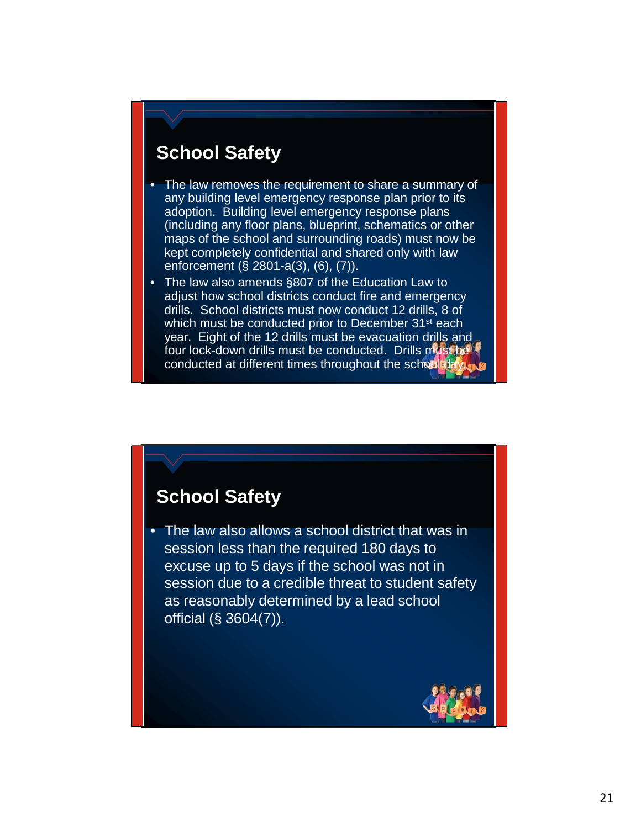## **School Safety**

- The law removes the requirement to share a summary of any building level emergency response plan prior to its adoption. Building level emergency response plans (including any floor plans, blueprint, schematics or other maps of the school and surrounding roads) must now be kept completely confidential and shared only with law enforcement (§ 2801-a(3), (6), (7)).
- The law also amends §807 of the Education Law to adjust how school districts conduct fire and emergency drills. School districts must now conduct 12 drills, 8 of which must be conducted prior to December 31<sup>st</sup> each year. Eight of the 12 drills must be evacuation drills and four lock-down drills must be conducted. Drills must be conducted at different times throughout the school

#### **School Safety**

• The law also allows a school district that was in session less than the required 180 days to excuse up to 5 days if the school was not in session due to a credible threat to student safety as reasonably determined by a lead school official (§ 3604(7)).

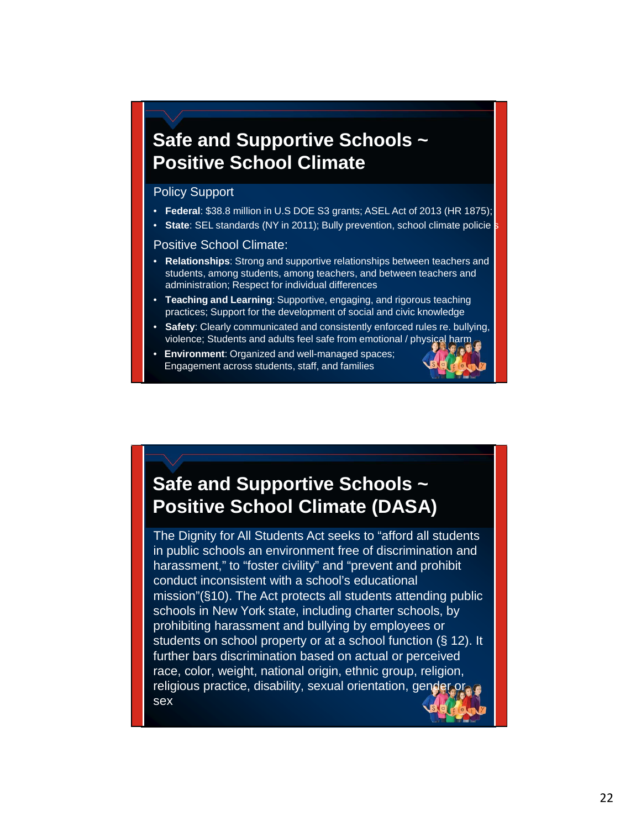## **Safe and Supportive Schools ~ Positive School Climate**

#### Policy Support

- **Federal**: \$38.8 million in U.S DOE S3 grants; ASEL Act of 2013 (HR 1875);
- State: SEL standards (NY in 2011); Bully prevention, school climate policie <mark>s</mark>

#### Positive School Climate:

- **Relationships**: Strong and supportive relationships between teachers and students, among students, among teachers, and between teachers and administration; Respect for individual differences
- **Teaching and Learning**: Supportive, engaging, and rigorous teaching practices; Support for the development of social and civic knowledge
- **Safety**: Clearly communicated and consistently enforced rules re. bullying, violence; Students and adults feel safe from emotional / physical harm
- **Environment**: Organized and well-managed spaces; Engagement across students, staff, and families



## **Safe and Supportive Schools ~ Positive School Climate (DASA)**

The Dignity for All Students Act seeks to "afford all students in public schools an environment free of discrimination and harassment," to "foster civility" and "prevent and prohibit conduct inconsistent with a school's educational mission"(§10). The Act protects all students attending public schools in New York state, including charter schools, by prohibiting harassment and bullying by employees or students on school property or at a school function (§ 12). It further bars discrimination based on actual or perceived race, color, weight, national origin, ethnic group, religion, religious practice, disability, sexual orientation, gender or sex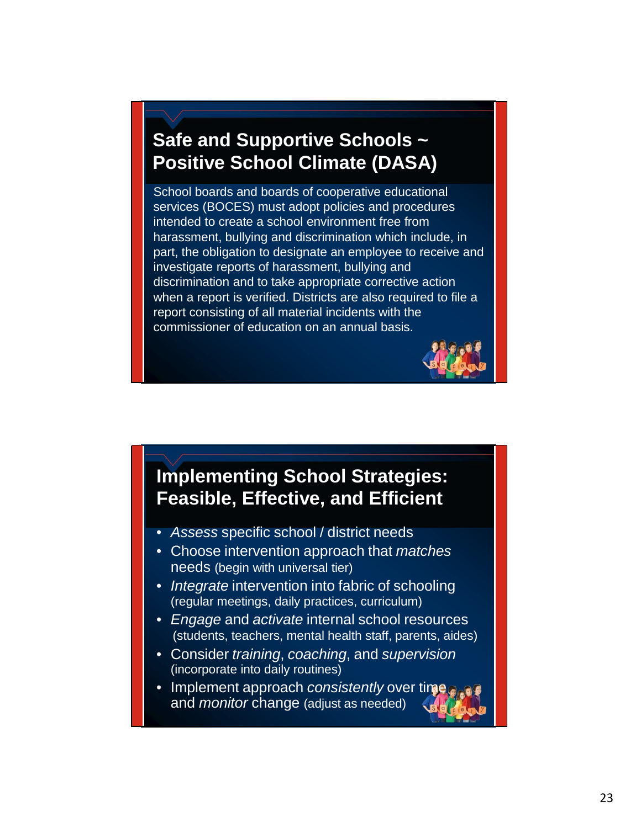## **Safe and Supportive Schools ~ Positive School Climate (DASA)**

School boards and boards of cooperative educational services (BOCES) must adopt policies and procedures intended to create a school environment free from harassment, bullying and discrimination which include, in part, the obligation to designate an employee to receive and investigate reports of harassment, bullying and discrimination and to take appropriate corrective action when a report is verified. Districts are also required to file a report consisting of all material incidents with the commissioner of education on an annual basis.



#### **Implementing School Strategies: Feasible, Effective, and Efficient**

- *Assess* specific school / district needs
- Choose intervention approach that *matches* needs (begin with universal tier)
- *Integrate* intervention into fabric of schooling (regular meetings, daily practices, curriculum)
- *Engage* and *activate* internal school resources (students, teachers, mental health staff, parents, aides)
- Consider *training*, *coaching*, and *supervision* (incorporate into daily routines)
- Implement approach *consistently* over time and *monitor* change (adjust as needed)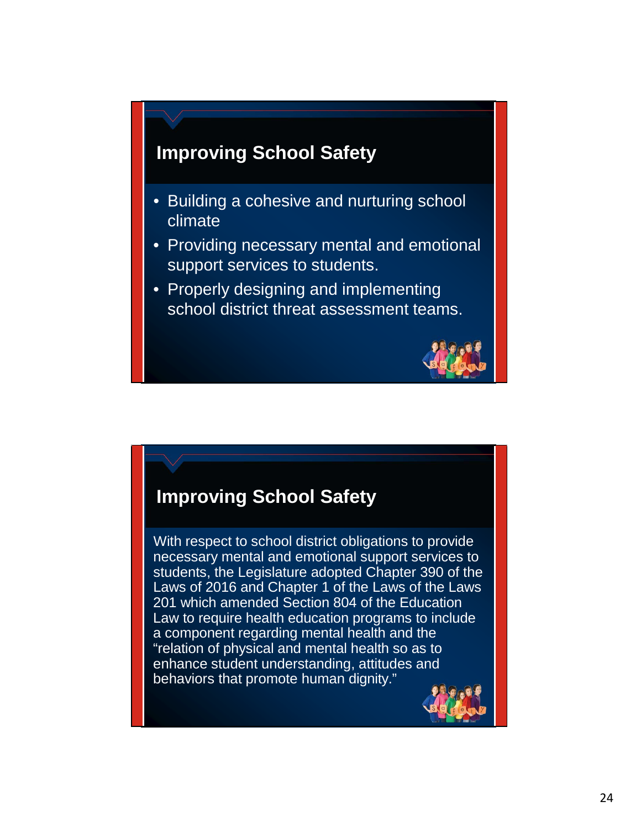

- Building a cohesive and nurturing school climate
- Providing necessary mental and emotional support services to students.
- Properly designing and implementing school district threat assessment teams.



#### **Improving School Safety**

With respect to school district obligations to provide necessary mental and emotional support services to students, the Legislature adopted Chapter 390 of the Laws of 2016 and Chapter 1 of the Laws of the Laws 201 which amended Section 804 of the Education Law to require health education programs to include a component regarding mental health and the "relation of physical and mental health so as to enhance student understanding, attitudes and behaviors that promote human dignity."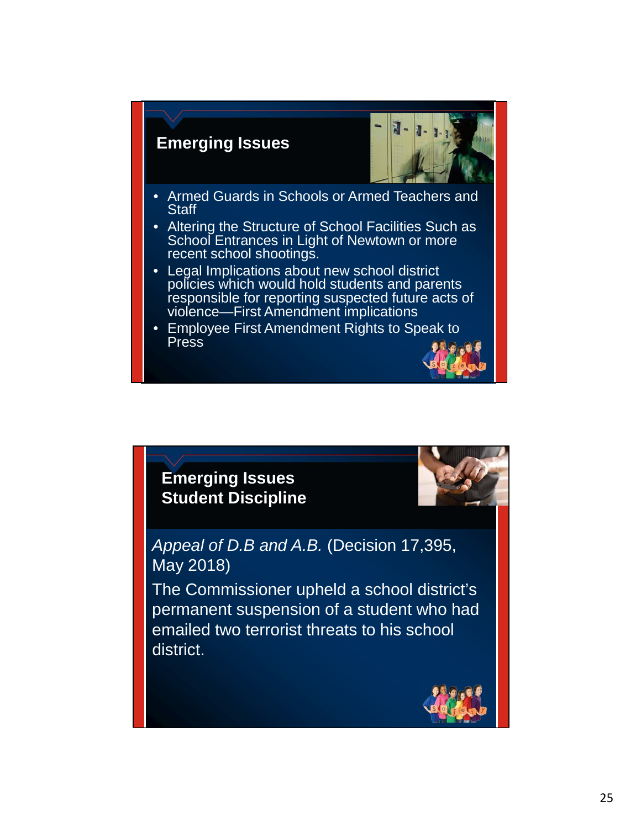#### **Emerging Issues**



- Armed Guards in Schools or Armed Teachers and **Staff**
- Altering the Structure of School Facilities Such as School Entrances in Light of Newtown or more recent school shootings.
- Legal Implications about new school district policies which would hold students and parents responsible for reporting suspected future acts of violence—First Amendment implications
- Employee First Amendment Rights to Speak to Press



*Appeal of D.B and A.B.* (Decision 17,395, May 2018)

The Commissioner upheld a school district's permanent suspension of a student who had emailed two terrorist threats to his school district.

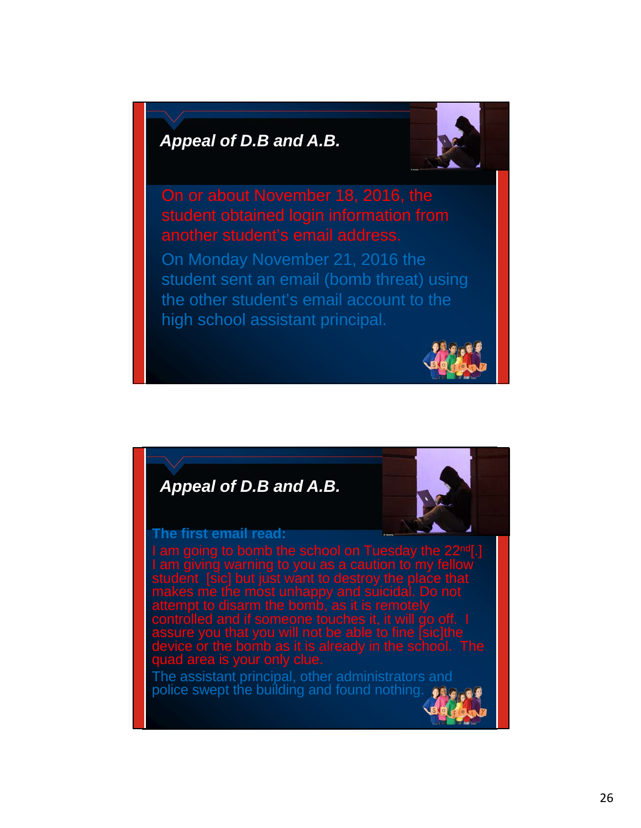

another student's email address. On Monday November 21, 2016 the student sent an email (bomb threat) using the other student's email account to the high school assistant principal.



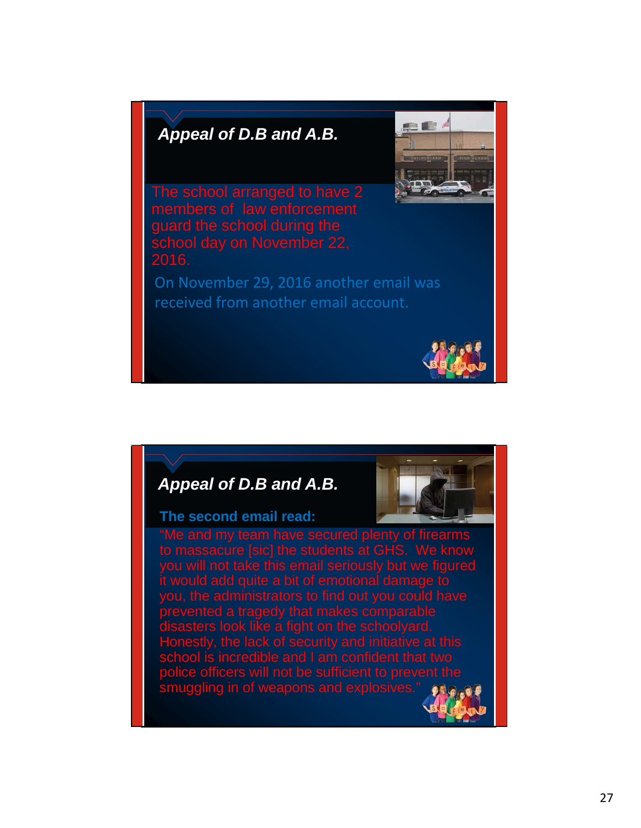

guard the school during the 2016.

On November 29, 2016 another email was received from another email account.



#### *Appeal of D.B and A.B.*

#### **The second email read:**



plenty of firearm take this email seriously but we figure d guite a bit prevented a tragedy that makes comparable disasters look like a fight on the schoolyard. Honestly, the lack of security and initiative at this police officers will not be sufficient to prevent the  ${\sf smugging}$  in of we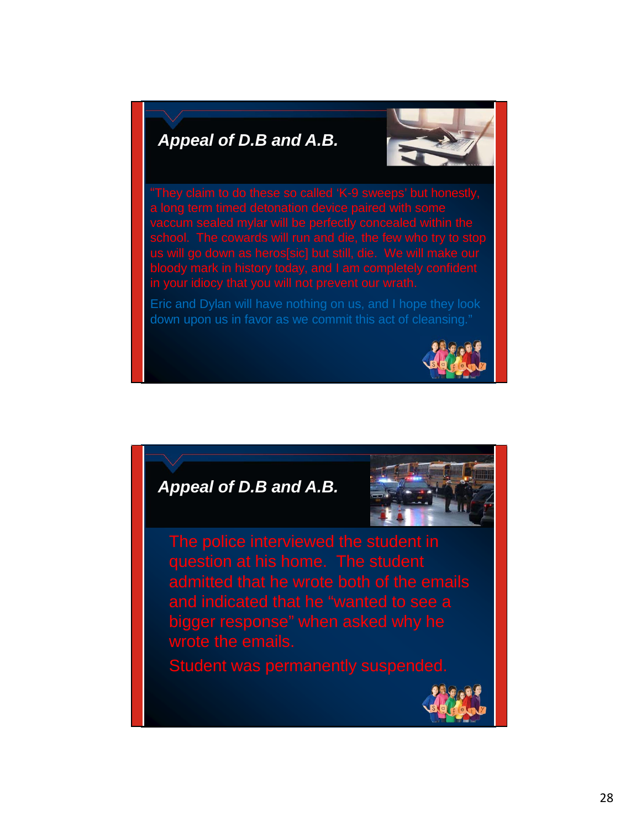

bloody mark in history today, and I am completely confident in your idiocy that you will not prevent our wrath.

Eric and Dylan will have nothing on us, and I hope they look down upon us in favor as we commit this act of cleansing."



#### *Appeal of D.B and A.B.*



admitted that he wrote both of the emails bigger response" when asked why he wrote the emails.

Student was permanently suspended.

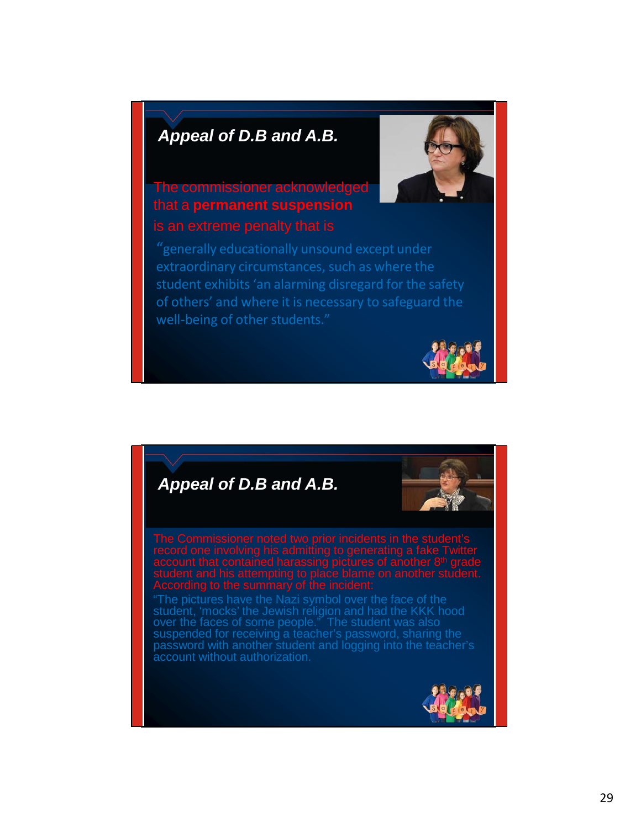

# The commissioner acknowledged that a **permanent suspension**

"generally educationally unsound except under extraordinary circumstances, such as where the student exhibits 'an alarming disregard for the safety of others' and where it is necessary to safeguard the well-being of other students."



# *Appeal of D.B and A.B.*

student, 'mocks' the Jewish religion and had the KKK hood over the faces of some people." The student was also suspended for receiving a teacher's password, sharing the password with another student and logging into the teacher's account without authorization.

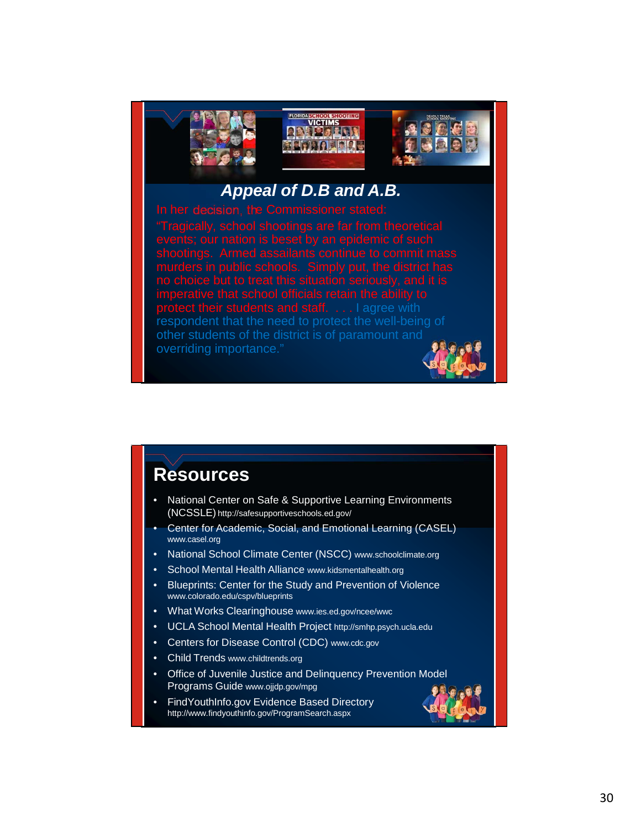

tudents and staff. . . . I agree with respondent that the need to protect the well-being of other students of the district is of paramount and overriding importance."

#### **Resources**

- National Center on Safe & Supportive Learning Environments (NCSSLE) <http://safesupportiveschools.ed.gov/>
- Center for Academic, Social, and Emotional Learning (CASEL) [www.casel.org](http://www.casel.org/)
- National School Climate Center (NSCC) [www.schoolclimate.org](http://www.schoolclimate.org/)
- School Mental Health Alliance [www.kidsmentalhealth.org](http://www.kidsmentalhealth.org/)
- Blueprints: Center for the Study and Prevention of Violence [www.colorado.edu/cspv/blueprints](http://www.colorado.edu/cspv/blueprints)
- What Works Clearinghouse [www.ies.ed.gov/ncee/wwc](http://www.ies.ed.gov/ncee/wwc)
- UCLA School Mental Health Project [http://smhp.psych.ucla.edu](http://smhp.psych.ucla.edu/)
- Centers for Disease Control (CDC) [www.cdc.gov](http://www.cdc.gov/)
- Child Trends [www.childtrends.org](http://www.childtrends.org/)
- Office of Juvenile Justice and Delinquency Prevention Model Programs Guide [www.ojjdp.gov/mpg](http://www.ojjdp.gov/mpg)
- FindYouthInfo.gov Evidence Based Directory <http://www.findyouthinfo.gov/ProgramSearch.aspx>